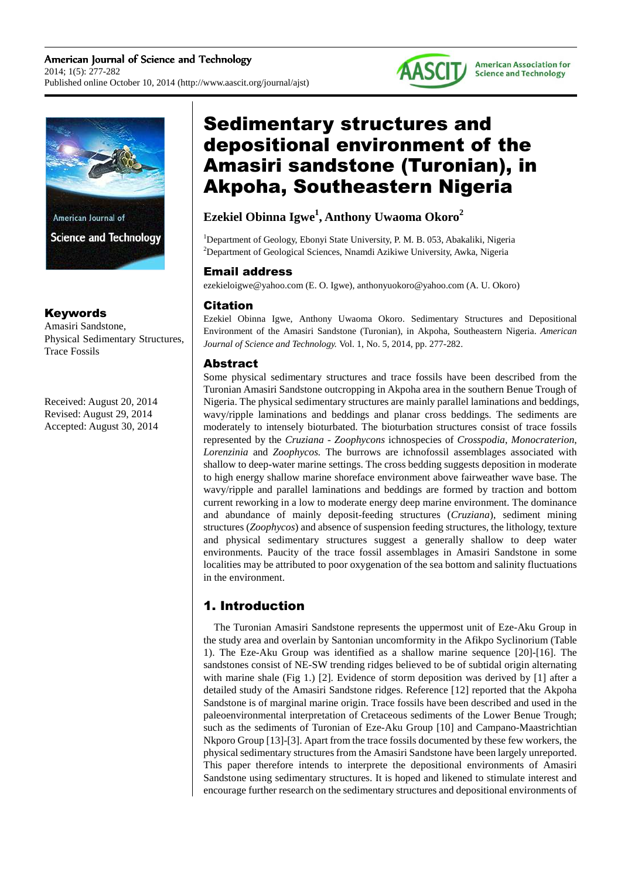



American Journal of **Science and Technology** 

## Keywords

Amasiri Sandstone, Physical Sedimentary Structures, Trace Fossils

Received: August 20, 2014 Revised: August 29, 2014 Accepted: August 30, 2014

# Sedimentary structures and depositional environment of the Amasiri sandstone (Turonian), in Akpoha, Southeastern Nigeria

# **Ezekiel Obinna Igwe<sup>1</sup> , Anthony Uwaoma Okoro<sup>2</sup>**

<sup>1</sup>Department of Geology, Ebonyi State University, P. M. B. 053, Abakaliki, Nigeria <sup>2</sup>Department of Geological Sciences, Nnamdi Azikiwe University, Awka, Nigeria

## Email address

ezekieloigwe@yahoo.com (E. O. Igwe), anthonyuokoro@yahoo.com (A. U. Okoro)

# **Citation**

Ezekiel Obinna Igwe, Anthony Uwaoma Okoro. Sedimentary Structures and Depositional Environment of the Amasiri Sandstone (Turonian), in Akpoha, Southeastern Nigeria. *American Journal of Science and Technology.* Vol. 1, No. 5, 2014, pp. 277-282.

# Abstract

Some physical sedimentary structures and trace fossils have been described from the Turonian Amasiri Sandstone outcropping in Akpoha area in the southern Benue Trough of Nigeria. The physical sedimentary structures are mainly parallel laminations and beddings, wavy/ripple laminations and beddings and planar cross beddings. The sediments are moderately to intensely bioturbated. The bioturbation structures consist of trace fossils represented by the *Cruziana* - *Zoophycons* ichnospecies of *Crosspodia*, *Monocraterion*, *Lorenzinia* and *Zoophycos.* The burrows are ichnofossil assemblages associated with shallow to deep-water marine settings. The cross bedding suggests deposition in moderate to high energy shallow marine shoreface environment above fairweather wave base. The wavy/ripple and parallel laminations and beddings are formed by traction and bottom current reworking in a low to moderate energy deep marine environment. The dominance and abundance of mainly deposit-feeding structures (*Cruziana*), sediment mining structures (*Zoophycos*) and absence of suspension feeding structures, the lithology, texture and physical sedimentary structures suggest a generally shallow to deep water environments. Paucity of the trace fossil assemblages in Amasiri Sandstone in some localities may be attributed to poor oxygenation of the sea bottom and salinity fluctuations in the environment.

# 1. Introduction

The Turonian Amasiri Sandstone represents the uppermost unit of Eze-Aku Group in the study area and overlain by Santonian uncomformity in the Afikpo Syclinorium (Table 1). The Eze-Aku Group was identified as a shallow marine sequence [20]-[16]. The sandstones consist of NE-SW trending ridges believed to be of subtidal origin alternating with marine shale (Fig 1.) [2]. Evidence of storm deposition was derived by [1] after a detailed study of the Amasiri Sandstone ridges. Reference [12] reported that the Akpoha Sandstone is of marginal marine origin. Trace fossils have been described and used in the paleoenvironmental interpretation of Cretaceous sediments of the Lower Benue Trough; such as the sediments of Turonian of Eze-Aku Group [10] and Campano-Maastrichtian Nkporo Group [13]-[3]. Apart from the trace fossils documented by these few workers, the physical sedimentary structures from the Amasiri Sandstone have been largely unreported. This paper therefore intends to interprete the depositional environments of Amasiri Sandstone using sedimentary structures. It is hoped and likened to stimulate interest and encourage further research on the sedimentary structures and depositional environments of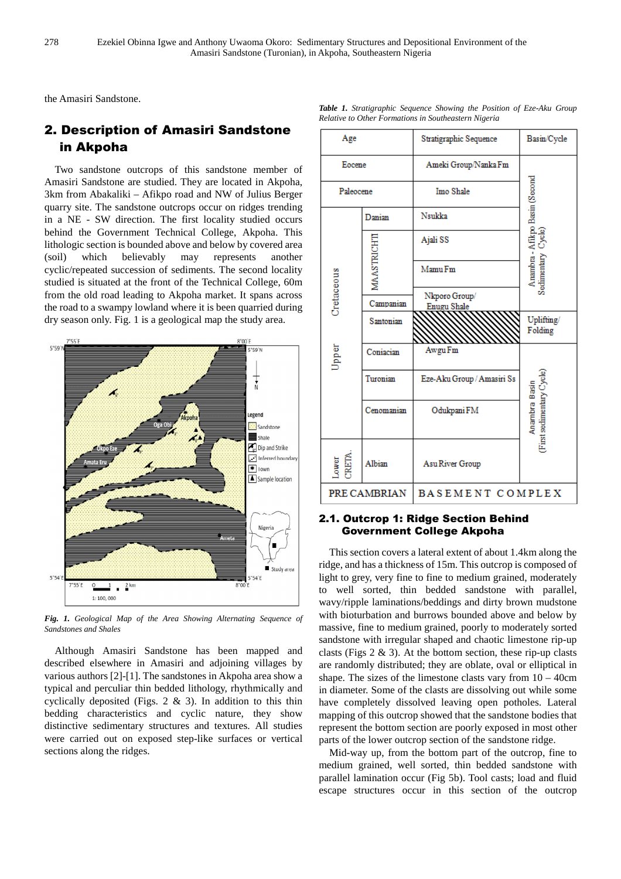the Amasiri Sandstone.

# 2. Description of Amasiri Sandstone in Akpoha

Two sandstone outcrops of this sandstone member of Amasiri Sandstone are studied. They are located in Akpoha, 3km from Abakaliki – Afikpo road and NW of Julius Berger quarry site. The sandstone outcrops occur on ridges trending in a NE - SW direction. The first locality studied occurs behind the Government Technical College, Akpoha. This lithologic section is bounded above and below by covered area (soil) which believably may represents another cyclic/repeated succession of sediments. The second locality studied is situated at the front of the Technical College, 60m from the old road leading to Akpoha market. It spans across the road to a swampy lowland where it is been quarried during dry season only. Fig. 1 is a geological map the study area.



*Fig. 1. Geological Map of the Area Showing Alternating Sequence of Sandstones and Shales* 

Although Amasiri Sandstone has been mapped and described elsewhere in Amasiri and adjoining villages by various authors [2]-[1]. The sandstones in Akpoha area show a typical and perculiar thin bedded lithology, rhythmically and cyclically deposited (Figs. 2 & 3). In addition to this thin bedding characteristics and cyclic nature, they show distinctive sedimentary structures and textures. All studies were carried out on exposed step-like surfaces or vertical sections along the ridges.

| Age                 |                   | Stratigraphic Sequence              | Basin/Cycle                                          |
|---------------------|-------------------|-------------------------------------|------------------------------------------------------|
| Eocene              |                   | Ameki Group/Nanka Fm                |                                                      |
| Paleocene           |                   | Imo Shale                           |                                                      |
| Cretaceous<br>Upper | Danian            | Nsukka                              | Anambra - Afikpo Basin (Second<br>Sedimentary Cycle) |
|                     |                   | Ajali SS                            |                                                      |
|                     | <b>MAASTRICHT</b> | Mamu Fm                             |                                                      |
|                     | Campanian         | Nkporo Group/<br><b>Enugu Shale</b> |                                                      |
|                     | Santonian         |                                     | Uplifting/<br>Folding                                |
|                     | Coniacian         | Awgu Fm                             |                                                      |
|                     | Turonian          | Eze-Aku Group / Amasiri Ss          | First sedimentary Cycle<br>Anambra Basin             |
|                     | Cenomanian        | Odukpani FM                         |                                                      |
| RETA<br>Jamor       | Albian            | Asu River Group                     |                                                      |
| PRE CAMBRIAN        |                   | BASEMENT COMPLEX                    |                                                      |

#### *Table 1. Stratigraphic Sequence Showing the Position of Eze-Aku Group Relative to Other Formations in Southeastern Nigeria*

#### 2.1. Outcrop 1: Ridge Section Behind Government College Akpoha

This section covers a lateral extent of about 1.4km along the ridge, and has a thickness of 15m. This outcrop is composed of light to grey, very fine to fine to medium grained, moderately to well sorted, thin bedded sandstone with parallel, wavy/ripple laminations/beddings and dirty brown mudstone with bioturbation and burrows bounded above and below by massive, fine to medium grained, poorly to moderately sorted sandstone with irregular shaped and chaotic limestone rip-up clasts (Figs  $2 \& 3$ ). At the bottom section, these rip-up clasts are randomly distributed; they are oblate, oval or elliptical in shape. The sizes of the limestone clasts vary from  $10 - 40$ cm in diameter. Some of the clasts are dissolving out while some have completely dissolved leaving open potholes. Lateral mapping of this outcrop showed that the sandstone bodies that represent the bottom section are poorly exposed in most other parts of the lower outcrop section of the sandstone ridge.

Mid-way up, from the bottom part of the outcrop, fine to medium grained, well sorted, thin bedded sandstone with parallel lamination occur (Fig 5b). Tool casts; load and fluid escape structures occur in this section of the outcrop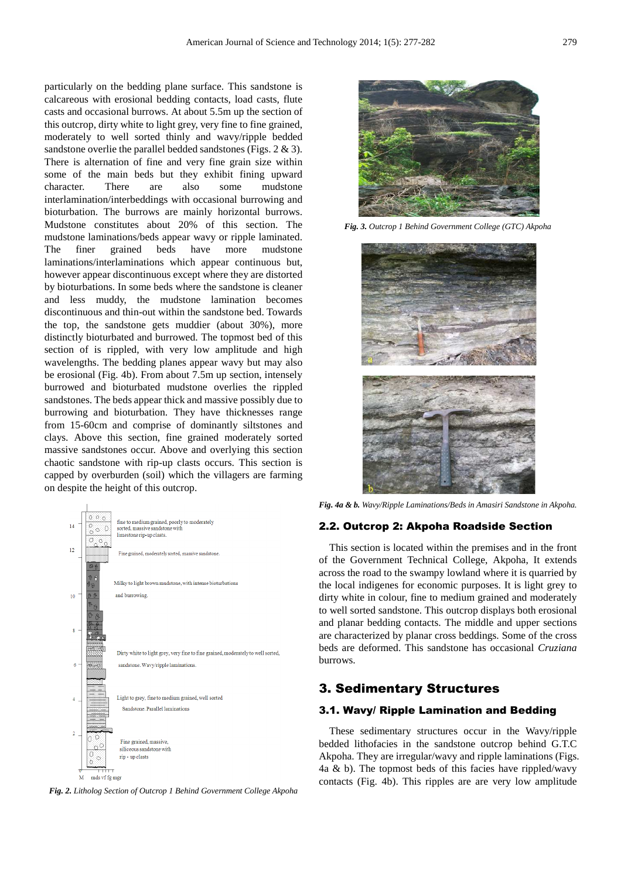particularly on the bedding plane surface. This sandstone is calcareous with erosional bedding contacts, load casts, flute casts and occasional burrows. At about 5.5m up the section of this outcrop, dirty white to light grey, very fine to fine grained, moderately to well sorted thinly and wavy/ripple bedded sandstone overlie the parallel bedded sandstones (Figs. 2 & 3). There is alternation of fine and very fine grain size within some of the main beds but they exhibit fining upward character. There are also some mudstone interlamination/interbeddings with occasional burrowing and bioturbation. The burrows are mainly horizontal burrows. Mudstone constitutes about 20% of this section. The mudstone laminations/beds appear wavy or ripple laminated. The finer grained beds have more mudstone laminations/interlaminations which appear continuous but, however appear discontinuous except where they are distorted by bioturbations. In some beds where the sandstone is cleaner and less muddy, the mudstone lamination becomes discontinuous and thin-out within the sandstone bed. Towards the top, the sandstone gets muddier (about 30%), more distinctly bioturbated and burrowed. The topmost bed of this section of is rippled, with very low amplitude and high wavelengths. The bedding planes appear wavy but may also be erosional (Fig. 4b). From about 7.5m up section, intensely burrowed and bioturbated mudstone overlies the rippled sandstones. The beds appear thick and massive possibly due to burrowing and bioturbation. They have thicknesses range from 15-60cm and comprise of dominantly siltstones and clays. Above this section, fine grained moderately sorted massive sandstones occur. Above and overlying this section chaotic sandstone with rip-up clasts occurs. This section is capped by overburden (soil) which the villagers are farming on despite the height of this outcrop.



*Fig. 2. Litholog Section of Outcrop 1 Behind Government College Akpoha* 



*Fig. 3. Outcrop 1 Behind Government College (GTC) Akpoha* 



*Fig. 4a & b. Wavy/Ripple Laminations/Beds in Amasiri Sandstone in Akpoha.* 

#### 2.2. Outcrop 2: Akpoha Roadside Section

This section is located within the premises and in the front of the Government Technical College, Akpoha, It extends across the road to the swampy lowland where it is quarried by the local indigenes for economic purposes. It is light grey to dirty white in colour, fine to medium grained and moderately to well sorted sandstone. This outcrop displays both erosional and planar bedding contacts. The middle and upper sections are characterized by planar cross beddings. Some of the cross beds are deformed. This sandstone has occasional *Cruziana* burrows.

#### 3. Sedimentary Structures

#### 3.1. Wavy/ Ripple Lamination and Bedding

These sedimentary structures occur in the Wavy/ripple bedded lithofacies in the sandstone outcrop behind G.T.C Akpoha. They are irregular/wavy and ripple laminations (Figs. 4a & b). The topmost beds of this facies have rippled/wavy contacts (Fig. 4b). This ripples are are very low amplitude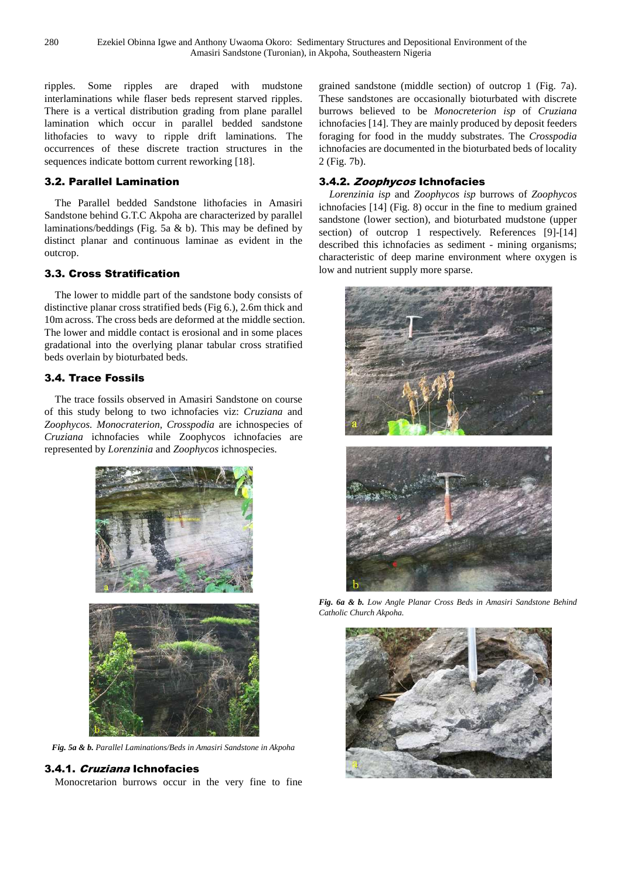ripples. Some ripples are draped with mudstone interlaminations while flaser beds represent starved ripples. There is a vertical distribution grading from plane parallel lamination which occur in parallel bedded sandstone lithofacies to wavy to ripple drift laminations. The occurrences of these discrete traction structures in the sequences indicate bottom current reworking [18].

### 3.2. Parallel Lamination

The Parallel bedded Sandstone lithofacies in Amasiri Sandstone behind G.T.C Akpoha are characterized by parallel laminations/beddings (Fig. 5a & b). This may be defined by distinct planar and continuous laminae as evident in the outcrop.

#### 3.3. Cross Stratification

The lower to middle part of the sandstone body consists of distinctive planar cross stratified beds (Fig 6.), 2.6m thick and 10m across. The cross beds are deformed at the middle section. The lower and middle contact is erosional and in some places gradational into the overlying planar tabular cross stratified beds overlain by bioturbated beds.

## 3.4. Trace Fossils

The trace fossils observed in Amasiri Sandstone on course of this study belong to two ichnofacies viz: *Cruziana* and *Zoophycos. Monocraterion, Crosspodia* are ichnospecies of *Cruziana* ichnofacies while Zoophycos ichnofacies are represented by *Lorenzinia* and *Zoophycos* ichnospecies.



*Fig. 5a & b. Parallel Laminations/Beds in Amasiri Sandstone in Akpoha* 

#### 3.4.1. Cruziana Ichnofacies

Monocretarion burrows occur in the very fine to fine

grained sandstone (middle section) of outcrop 1 (Fig. 7a). These sandstones are occasionally bioturbated with discrete burrows believed to be *Monocreterion isp* of *Cruziana*  ichnofacies [14]. They are mainly produced by deposit feeders foraging for food in the muddy substrates. The *Crosspodia* ichnofacies are documented in the bioturbated beds of locality 2 (Fig. 7b).

#### 3.4.2. Zoophycos Ichnofacies

*Lorenzinia isp* and *Zoophycos isp* burrows of *Zoophycos*  ichnofacies [14] (Fig. 8) occur in the fine to medium grained sandstone (lower section), and bioturbated mudstone (upper section) of outcrop 1 respectively. References [9]-[14] described this ichnofacies as sediment - mining organisms; characteristic of deep marine environment where oxygen is low and nutrient supply more sparse.



*Fig. 6a & b. Low Angle Planar Cross Beds in Amasiri Sandstone Behind Catholic Church Akpoha.* 

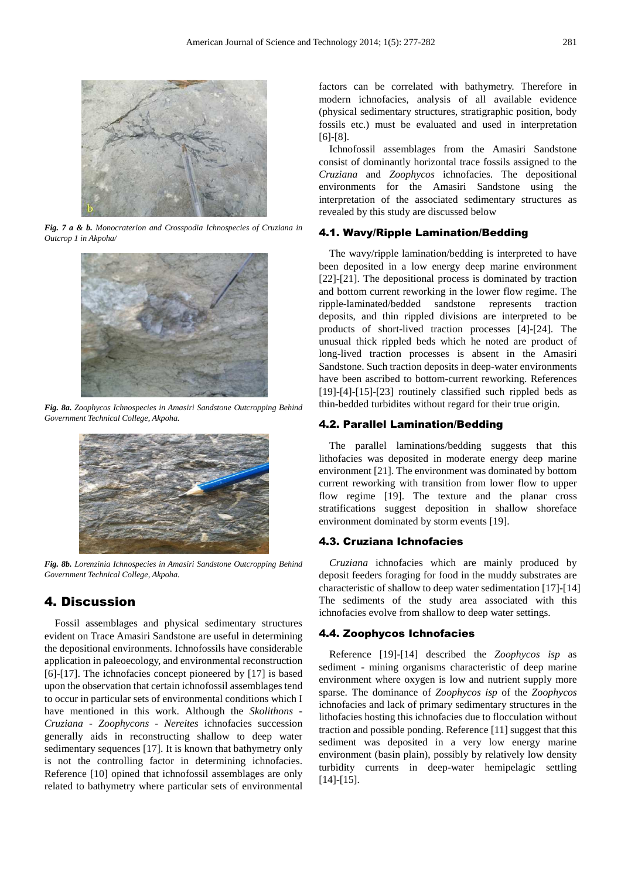

*Fig. 7 a & b. Monocraterion and Crosspodia Ichnospecies of Cruziana in Outcrop 1 in Akpoha/* 



*Fig. 8a. Zoophycos Ichnospecies in Amasiri Sandstone Outcropping Behind Government Technical College, Akpoha.* 



*Fig. 8b. Lorenzinia Ichnospecies in Amasiri Sandstone Outcropping Behind Government Technical College, Akpoha.* 

## 4. Discussion

Fossil assemblages and physical sedimentary structures evident on Trace Amasiri Sandstone are useful in determining the depositional environments. Ichnofossils have considerable application in paleoecology, and environmental reconstruction [6]-[17]. The ichnofacies concept pioneered by [17] is based upon the observation that certain ichnofossil assemblages tend to occur in particular sets of environmental conditions which I have mentioned in this work. Although the *Skolithons* - *Cruziana - Zoophycons* - *Nereites* ichnofacies succession generally aids in reconstructing shallow to deep water sedimentary sequences [17]. It is known that bathymetry only is not the controlling factor in determining ichnofacies. Reference [10] opined that ichnofossil assemblages are only related to bathymetry where particular sets of environmental factors can be correlated with bathymetry. Therefore in modern ichnofacies, analysis of all available evidence (physical sedimentary structures, stratigraphic position, body fossils etc.) must be evaluated and used in interpretation [6]-[8].

Ichnofossil assemblages from the Amasiri Sandstone consist of dominantly horizontal trace fossils assigned to the *Cruziana* and *Zoophycos* ichnofacies. The depositional environments for the Amasiri Sandstone using the interpretation of the associated sedimentary structures as revealed by this study are discussed below

#### 4.1. Wavy/Ripple Lamination/Bedding

The wavy/ripple lamination/bedding is interpreted to have been deposited in a low energy deep marine environment [22]-[21]. The depositional process is dominated by traction and bottom current reworking in the lower flow regime. The ripple-laminated/bedded sandstone represents traction deposits, and thin rippled divisions are interpreted to be products of short-lived traction processes [4]-[24]. The unusual thick rippled beds which he noted are product of long-lived traction processes is absent in the Amasiri Sandstone. Such traction deposits in deep-water environments have been ascribed to bottom-current reworking. References [19]-[4]-[15]-[23] routinely classified such rippled beds as thin-bedded turbidites without regard for their true origin.

#### 4.2. Parallel Lamination/Bedding

The parallel laminations/bedding suggests that this lithofacies was deposited in moderate energy deep marine environment [21]. The environment was dominated by bottom current reworking with transition from lower flow to upper flow regime [19]. The texture and the planar cross stratifications suggest deposition in shallow shoreface environment dominated by storm events [19].

#### 4.3. Cruziana Ichnofacies

*Cruziana* ichnofacies which are mainly produced by deposit feeders foraging for food in the muddy substrates are characteristic of shallow to deep water sedimentation [17]-[14] The sediments of the study area associated with this ichnofacies evolve from shallow to deep water settings.

#### 4.4. Zoophycos Ichnofacies

Reference [19]-[14] described the *Zoophycos isp* as sediment - mining organisms characteristic of deep marine environment where oxygen is low and nutrient supply more sparse. The dominance of *Zoophycos isp* of the *Zoophycos* ichnofacies and lack of primary sedimentary structures in the lithofacies hosting this ichnofacies due to flocculation without traction and possible ponding. Reference [11] suggest that this sediment was deposited in a very low energy marine environment (basin plain), possibly by relatively low density turbidity currents in deep-water hemipelagic settling [14]-[15].